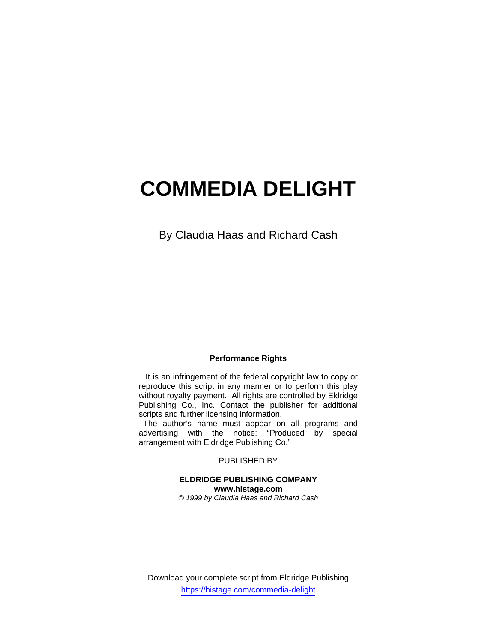# **COMMEDIA DELIGHT**

By Claudia Haas and Richard Cash

# **Performance Rights**

 It is an infringement of the federal copyright law to copy or reproduce this script in any manner or to perform this play without royalty payment. All rights are controlled by Eldridge Publishing Co., Inc. Contact the publisher for additional scripts and further licensing information.

 The author's name must appear on all programs and advertising with the notice: "Produced by special arrangement with Eldridge Publishing Co."

# PUBLISHED BY

# **ELDRIDGE PUBLISHING COMPANY www.histage.com**

*© 1999 by Claudia Haas and Richard Cash* 

Download your complete script from Eldridge Publishing https://histage.com/commedia-delight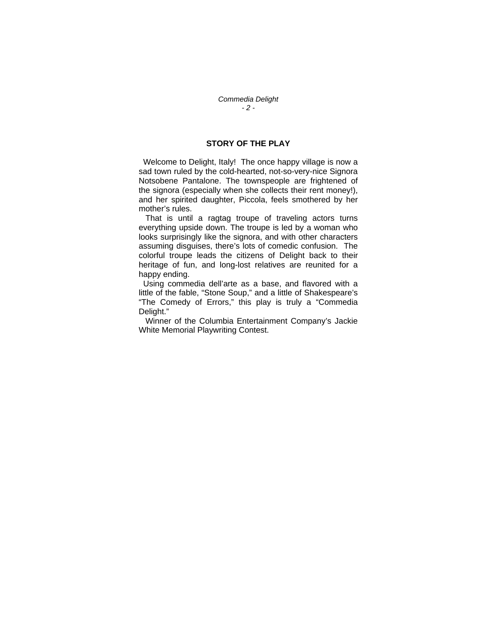# **STORY OF THE PLAY**

 Welcome to Delight, Italy! The once happy village is now a sad town ruled by the cold-hearted, not-so-very-nice Signora Notsobene Pantalone. The townspeople are frightened of the signora (especially when she collects their rent money!), and her spirited daughter, Piccola, feels smothered by her mother's rules.

 That is until a ragtag troupe of traveling actors turns everything upside down. The troupe is led by a woman who looks surprisingly like the signora, and with other characters assuming disguises, there's lots of comedic confusion. The colorful troupe leads the citizens of Delight back to their heritage of fun, and long-lost relatives are reunited for a happy ending.

 Using commedia dell'arte as a base, and flavored with a little of the fable, "Stone Soup," and a little of Shakespeare's "The Comedy of Errors," this play is truly a "Commedia Delight."

 Winner of the Columbia Entertainment Company's Jackie White Memorial Playwriting Contest.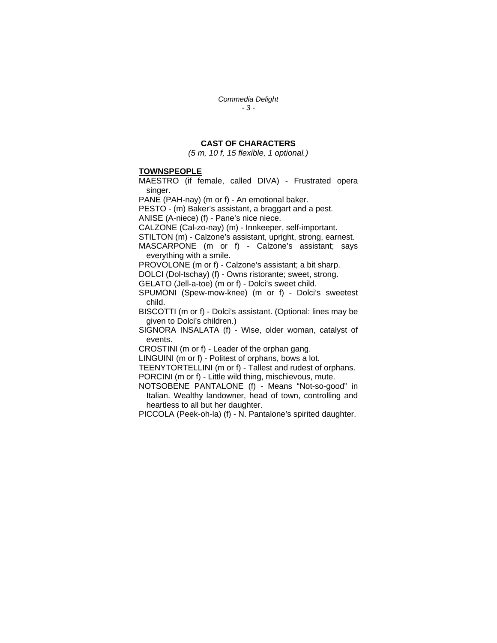*Commedia Delight - 3 -* 

# **CAST OF CHARACTERS**

*(5 m, 10 f, 15 flexible, 1 optional.)*

### **TOWNSPEOPLE**

MAESTRO (if female, called DIVA) - Frustrated opera singer.

PANE (PAH-nay) (m or f) - An emotional baker.

PESTO - (m) Baker's assistant, a braggart and a pest. ANISE (A-niece) (f) - Pane's nice niece.

CALZONE (Cal-zo-nay) (m) - Innkeeper, self-important.

STILTON (m) - Calzone's assistant, upright, strong, earnest.

MASCARPONE (m or f) - Calzone's assistant; says everything with a smile.

PROVOLONE (m or f) - Calzone's assistant; a bit sharp.

DOLCI (Dol-tschay) (f) - Owns ristorante; sweet, strong.

GELATO (Jell-a-toe) (m or f) - Dolci's sweet child.

SPUMONI (Spew-mow-knee) (m or f) - Dolci's sweetest child.

BISCOTTI (m or f) - Dolci's assistant. (Optional: lines may be given to Dolci's children.)

SIGNORA INSALATA (f) - Wise, older woman, catalyst of events.

CROSTINI (m or f) - Leader of the orphan gang.

LINGUINI (m or f) - Politest of orphans, bows a lot.

TEENYTORTELLINI (m or f) - Tallest and rudest of orphans. PORCINI (m or f) - Little wild thing, mischievous, mute.

NOTSOBENE PANTALONE (f) - Means "Not-so-good" in Italian. Wealthy landowner, head of town, controlling and heartless to all but her daughter.

PICCOLA (Peek-oh-la) (f) - N. Pantalone's spirited daughter.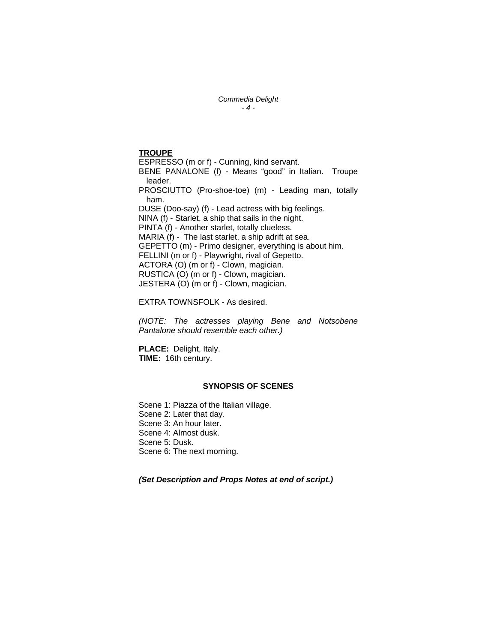#### *Commedia Delight - 4 -*

# **TROUPE**

ESPRESSO (m or f) - Cunning, kind servant. BENE PANALONE (f) - Means "good" in Italian. Troupe leader. PROSCIUTTO (Pro-shoe-toe) (m) - Leading man, totally ham. DUSE (Doo-say) (f) - Lead actress with big feelings. NINA (f) - Starlet, a ship that sails in the night. PINTA (f) - Another starlet, totally clueless. MARIA (f) - The last starlet, a ship adrift at sea. GEPETTO (m) - Primo designer, everything is about him. FELLINI (m or f) - Playwright, rival of Gepetto. ACTORA (O) (m or f) - Clown, magician. RUSTICA (O) (m or f) - Clown, magician. JESTERA (O) (m or f) - Clown, magician.

EXTRA TOWNSFOLK - As desired.

*(NOTE: The actresses playing Bene and Notsobene Pantalone should resemble each other.)* 

**PLACE:** Delight, Italy. **TIME:** 16th century.

## **SYNOPSIS OF SCENES**

Scene 1: Piazza of the Italian village. Scene 2: Later that day. Scene 3: An hour later. Scene 4: Almost dusk. Scene 5: Dusk. Scene 6: The next morning.

*(Set Description and Props Notes at end of script.)*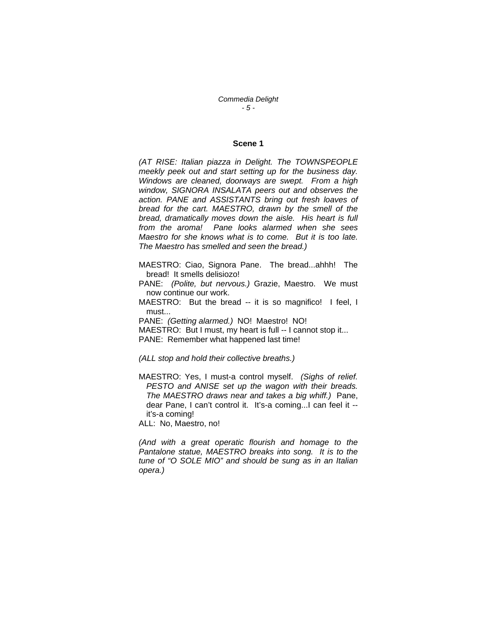*Commedia Delight - 5 -* 

## **Scene 1**

*(AT RISE: Italian piazza in Delight. The TOWNSPEOPLE meekly peek out and start setting up for the business day. Windows are cleaned, doorways are swept. From a high window, SIGNORA INSALATA peers out and observes the action. PANE and ASSISTANTS bring out fresh loaves of bread for the cart. MAESTRO, drawn by the smell of the bread, dramatically moves down the aisle. His heart is full from the aroma! Pane looks alarmed when she sees Maestro for she knows what is to come. But it is too late. The Maestro has smelled and seen the bread.)* 

MAESTRO: Ciao, Signora Pane. The bread...ahhh! The bread! It smells delisiozo!

PANE: *(Polite, but nervous.)* Grazie, Maestro. We must now continue our work.

MAESTRO: But the bread -- it is so magnifico! I feel, I must

PANE: *(Getting alarmed.)* NO! Maestro! NO! MAESTRO: But I must, my heart is full -- I cannot stop it... PANE: Remember what happened last time!

## *(ALL stop and hold their collective breaths.)*

MAESTRO: Yes, I must-a control myself. *(Sighs of relief. PESTO and ANISE set up the wagon with their breads. The MAESTRO draws near and takes a big whiff.)* Pane, dear Pane, I can't control it. It's-a coming...I can feel it - it's-a coming!

ALL: No, Maestro, no!

*(And with a great operatic flourish and homage to the Pantalone statue, MAESTRO breaks into song. It is to the tune of "O SOLE MIO" and should be sung as in an Italian opera.)*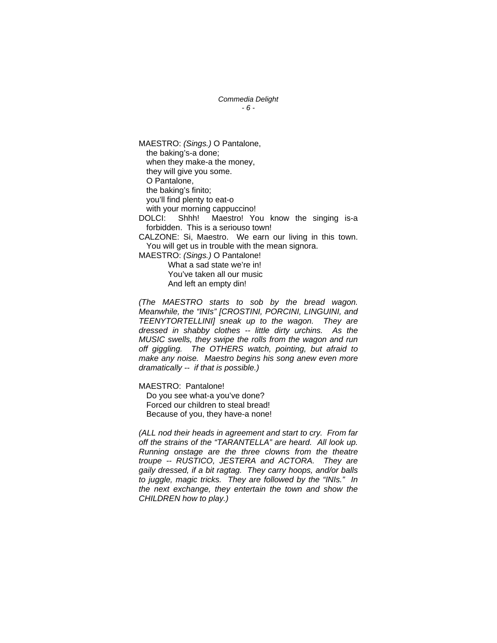## *Commedia Delight - 6 -*

MAESTRO: *(Sings.)* O Pantalone, the baking's-a done; when they make-a the money, they will give you some. O Pantalone, the baking's finito; you'll find plenty to eat-o with your morning cappuccino! DOLCI: Shhh! Maestro! You know the singing is-a forbidden. This is a seriouso town! CALZONE: Si, Maestro. We earn our living in this town. You will get us in trouble with the mean signora. MAESTRO: *(Sings.)* O Pantalone! What a sad state we're in! You've taken all our music And left an empty din!

*(The MAESTRO starts to sob by the bread wagon. Meanwhile, the "INIs" [CROSTINI, PORCINI, LINGUINI, and TEENYTORTELLINI] sneak up to the wagon. They are dressed in shabby clothes -- little dirty urchins. As the MUSIC swells, they swipe the rolls from the wagon and run off giggling. The OTHERS watch, pointing, but afraid to make any noise. Maestro begins his song anew even more dramatically -- if that is possible.)* 

MAESTRO: Pantalone!

 Do you see what-a you've done? Forced our children to steal bread! Because of you, they have-a none!

*(ALL nod their heads in agreement and start to cry. From far off the strains of the "TARANTELLA" are heard. All look up. Running onstage are the three clowns from the theatre troupe -- RUSTICO, JESTERA and ACTORA. They are gaily dressed, if a bit ragtag. They carry hoops, and/or balls to juggle, magic tricks. They are followed by the "INIs." In the next exchange, they entertain the town and show the CHILDREN how to play.)*